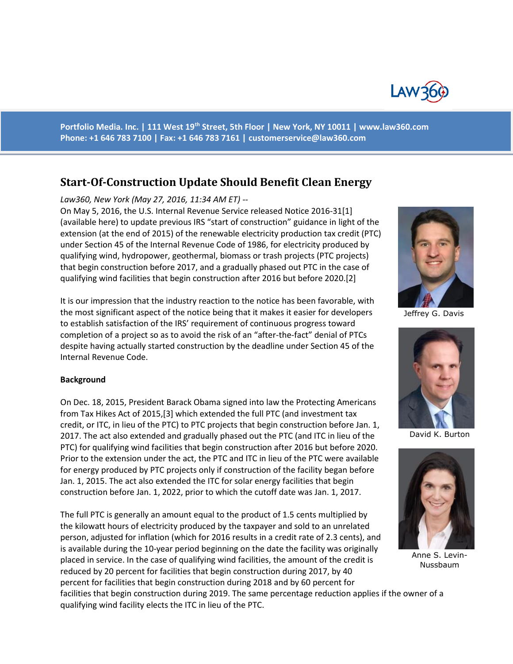

**Portfolio Media. Inc. | 111 West 19th Street, 5th Floor | New York, NY 10011 | www.law360.com Phone: +1 646 783 7100 | Fax: +1 646 783 7161 | [customerservice@law360.com](mailto:customerservice@law360.com)**

# **Start-Of-Construction Update Should Benefit Clean Energy**

#### *Law360, New York (May 27, 2016, 11:34 AM ET) --*

On May 5, 2016, the U.S. Internal Revenue Service released Notice 2016-31[1] (available here) to update previous IRS "start of construction" guidance in light of the extension (at the end of 2015) of the renewable electricity production tax credit (PTC) under Section 45 of the Internal Revenue Code of 1986, for electricity produced by qualifying wind, hydropower, geothermal, biomass or trash projects (PTC projects) that begin construction before 2017, and a gradually phased out PTC in the case of qualifying wind facilities that begin construction after 2016 but before 2020.[2]

It is our impression that the industry reaction to the notice has been favorable, with the most significant aspect of the notice being that it makes it easier for developers to establish satisfaction of the IRS' requirement of continuous progress toward completion of a project so as to avoid the risk of an "after-the-fact" denial of PTCs despite having actually started construction by the deadline under Section 45 of the Internal Revenue Code.

#### **Background**

On Dec. 18, 2015, President Barack Obama signed into law the Protecting Americans from Tax Hikes Act of 2015,[3] which extended the full PTC (and investment tax credit, or ITC, in lieu of the PTC) to PTC projects that begin construction before Jan. 1, 2017. The act also extended and gradually phased out the PTC (and ITC in lieu of the PTC) for qualifying wind facilities that begin construction after 2016 but before 2020. Prior to the extension under the act, the PTC and ITC in lieu of the PTC were available for energy produced by PTC projects only if construction of the facility began before Jan. 1, 2015. The act also extended the ITC for solar energy facilities that begin construction before Jan. 1, 2022, prior to which the cutoff date was Jan. 1, 2017.

The full PTC is generally an amount equal to the product of 1.5 cents multiplied by the kilowatt hours of electricity produced by the taxpayer and sold to an unrelated person, adjusted for inflation (which for 2016 results in a credit rate of 2.3 cents), and is available during the 10-year period beginning on the date the facility was originally placed in service. In the case of qualifying wind facilities, the amount of the credit is reduced by 20 percent for facilities that begin construction during 2017, by 40 percent for facilities that begin construction during 2018 and by 60 percent for

facilities that begin construction during 2019. The same percentage reduction applies if the owner of a qualifying wind facility elects the ITC in lieu of the PTC.



Jeffrey G. Davis



David K. Burton



Anne S. Levin-Nussbaum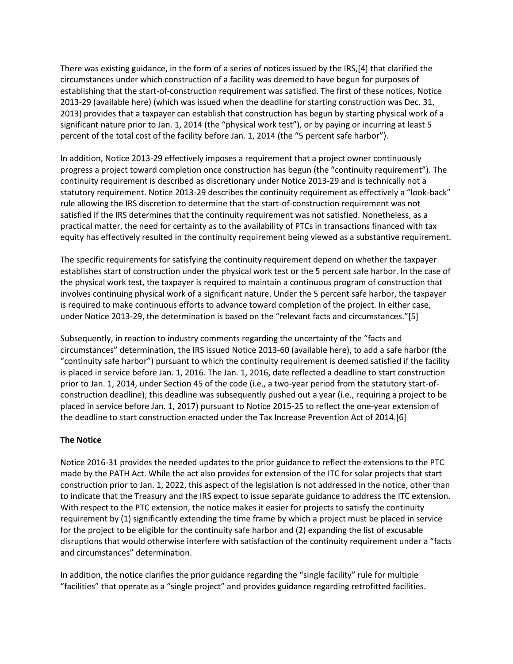There was existing guidance, in the form of a series of notices issued by the IRS,[4] that clarified the circumstances under which construction of a facility was deemed to have begun for purposes of establishing that the start-of-construction requirement was satisfied. The first of these notices, Notice 2013-29 (available here) (which was issued when the deadline for starting construction was Dec. 31, 2013) provides that a taxpayer can establish that construction has begun by starting physical work of a significant nature prior to Jan. 1, 2014 (the "physical work test"), or by paying or incurring at least 5 percent of the total cost of the facility before Jan. 1, 2014 (the "5 percent safe harbor").

In addition, Notice 2013-29 effectively imposes a requirement that a project owner continuously progress a project toward completion once construction has begun (the "continuity requirement"). The continuity requirement is described as discretionary under Notice 2013-29 and is technically not a statutory requirement. Notice 2013-29 describes the continuity requirement as effectively a "look-back" rule allowing the IRS discretion to determine that the start-of-construction requirement was not satisfied if the IRS determines that the continuity requirement was not satisfied. Nonetheless, as a practical matter, the need for certainty as to the availability of PTCs in transactions financed with tax equity has effectively resulted in the continuity requirement being viewed as a substantive requirement.

The specific requirements for satisfying the continuity requirement depend on whether the taxpayer establishes start of construction under the physical work test or the 5 percent safe harbor. In the case of the physical work test, the taxpayer is required to maintain a continuous program of construction that involves continuing physical work of a significant nature. Under the 5 percent safe harbor, the taxpayer is required to make continuous efforts to advance toward completion of the project. In either case, under Notice 2013-29, the determination is based on the "relevant facts and circumstances."[5]

Subsequently, in reaction to industry comments regarding the uncertainty of the "facts and circumstances" determination, the IRS issued Notice 2013-60 (available here), to add a safe harbor (the "continuity safe harbor") pursuant to which the continuity requirement is deemed satisfied if the facility is placed in service before Jan. 1, 2016. The Jan. 1, 2016, date reflected a deadline to start construction prior to Jan. 1, 2014, under Section 45 of the code (i.e., a two-year period from the statutory start-ofconstruction deadline); this deadline was subsequently pushed out a year (i.e., requiring a project to be placed in service before Jan. 1, 2017) pursuant to Notice 2015-25 to reflect the one-year extension of the deadline to start construction enacted under the Tax Increase Prevention Act of 2014.[6]

#### **The Notice**

Notice 2016-31 provides the needed updates to the prior guidance to reflect the extensions to the PTC made by the PATH Act. While the act also provides for extension of the ITC for solar projects that start construction prior to Jan. 1, 2022, this aspect of the legislation is not addressed in the notice, other than to indicate that the Treasury and the IRS expect to issue separate guidance to address the ITC extension. With respect to the PTC extension, the notice makes it easier for projects to satisfy the continuity requirement by (1) significantly extending the time frame by which a project must be placed in service for the project to be eligible for the continuity safe harbor and (2) expanding the list of excusable disruptions that would otherwise interfere with satisfaction of the continuity requirement under a "facts and circumstances" determination.

In addition, the notice clarifies the prior guidance regarding the "single facility" rule for multiple "facilities" that operate as a "single project" and provides guidance regarding retrofitted facilities.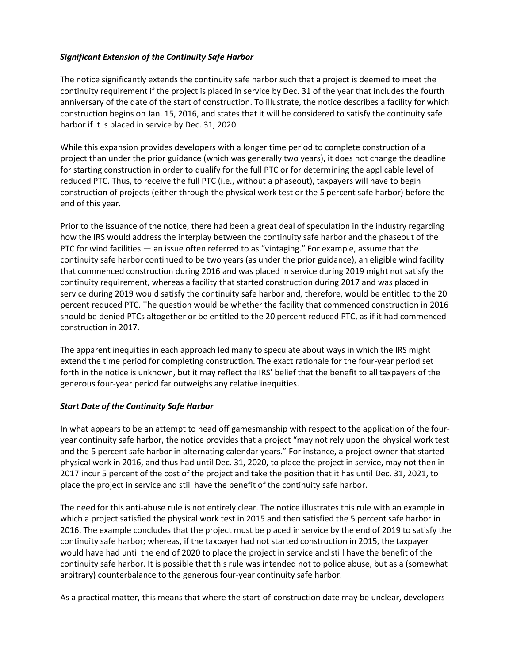## *Significant Extension of the Continuity Safe Harbor*

The notice significantly extends the continuity safe harbor such that a project is deemed to meet the continuity requirement if the project is placed in service by Dec. 31 of the year that includes the fourth anniversary of the date of the start of construction. To illustrate, the notice describes a facility for which construction begins on Jan. 15, 2016, and states that it will be considered to satisfy the continuity safe harbor if it is placed in service by Dec. 31, 2020.

While this expansion provides developers with a longer time period to complete construction of a project than under the prior guidance (which was generally two years), it does not change the deadline for starting construction in order to qualify for the full PTC or for determining the applicable level of reduced PTC. Thus, to receive the full PTC (i.e., without a phaseout), taxpayers will have to begin construction of projects (either through the physical work test or the 5 percent safe harbor) before the end of this year.

Prior to the issuance of the notice, there had been a great deal of speculation in the industry regarding how the IRS would address the interplay between the continuity safe harbor and the phaseout of the PTC for wind facilities — an issue often referred to as "vintaging." For example, assume that the continuity safe harbor continued to be two years (as under the prior guidance), an eligible wind facility that commenced construction during 2016 and was placed in service during 2019 might not satisfy the continuity requirement, whereas a facility that started construction during 2017 and was placed in service during 2019 would satisfy the continuity safe harbor and, therefore, would be entitled to the 20 percent reduced PTC. The question would be whether the facility that commenced construction in 2016 should be denied PTCs altogether or be entitled to the 20 percent reduced PTC, as if it had commenced construction in 2017.

The apparent inequities in each approach led many to speculate about ways in which the IRS might extend the time period for completing construction. The exact rationale for the four-year period set forth in the notice is unknown, but it may reflect the IRS' belief that the benefit to all taxpayers of the generous four-year period far outweighs any relative inequities.

#### *Start Date of the Continuity Safe Harbor*

In what appears to be an attempt to head off gamesmanship with respect to the application of the fouryear continuity safe harbor, the notice provides that a project "may not rely upon the physical work test and the 5 percent safe harbor in alternating calendar years." For instance, a project owner that started physical work in 2016, and thus had until Dec. 31, 2020, to place the project in service, may not then in 2017 incur 5 percent of the cost of the project and take the position that it has until Dec. 31, 2021, to place the project in service and still have the benefit of the continuity safe harbor.

The need for this anti-abuse rule is not entirely clear. The notice illustrates this rule with an example in which a project satisfied the physical work test in 2015 and then satisfied the 5 percent safe harbor in 2016. The example concludes that the project must be placed in service by the end of 2019 to satisfy the continuity safe harbor; whereas, if the taxpayer had not started construction in 2015, the taxpayer would have had until the end of 2020 to place the project in service and still have the benefit of the continuity safe harbor. It is possible that this rule was intended not to police abuse, but as a (somewhat arbitrary) counterbalance to the generous four-year continuity safe harbor.

As a practical matter, this means that where the start-of-construction date may be unclear, developers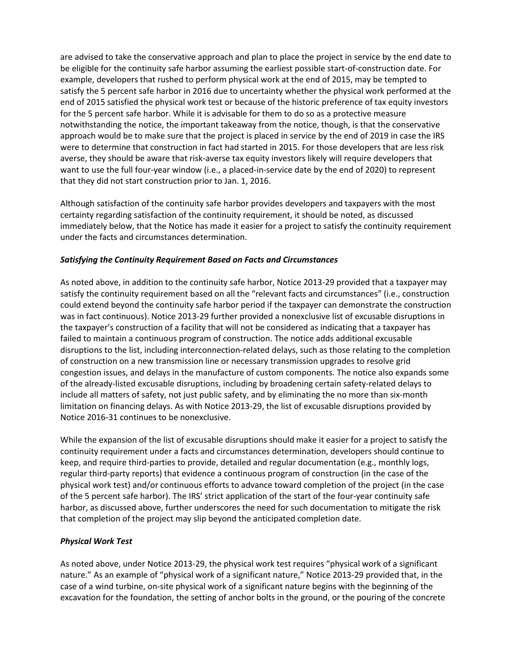are advised to take the conservative approach and plan to place the project in service by the end date to be eligible for the continuity safe harbor assuming the earliest possible start-of-construction date. For example, developers that rushed to perform physical work at the end of 2015, may be tempted to satisfy the 5 percent safe harbor in 2016 due to uncertainty whether the physical work performed at the end of 2015 satisfied the physical work test or because of the historic preference of tax equity investors for the 5 percent safe harbor. While it is advisable for them to do so as a protective measure notwithstanding the notice, the important takeaway from the notice, though, is that the conservative approach would be to make sure that the project is placed in service by the end of 2019 in case the IRS were to determine that construction in fact had started in 2015. For those developers that are less risk averse, they should be aware that risk-averse tax equity investors likely will require developers that want to use the full four-year window (i.e., a placed-in-service date by the end of 2020) to represent that they did not start construction prior to Jan. 1, 2016.

Although satisfaction of the continuity safe harbor provides developers and taxpayers with the most certainty regarding satisfaction of the continuity requirement, it should be noted, as discussed immediately below, that the Notice has made it easier for a project to satisfy the continuity requirement under the facts and circumstances determination.

#### *Satisfying the Continuity Requirement Based on Facts and Circumstances*

As noted above, in addition to the continuity safe harbor, Notice 2013-29 provided that a taxpayer may satisfy the continuity requirement based on all the "relevant facts and circumstances" (i.e., construction could extend beyond the continuity safe harbor period if the taxpayer can demonstrate the construction was in fact continuous). Notice 2013-29 further provided a nonexclusive list of excusable disruptions in the taxpayer's construction of a facility that will not be considered as indicating that a taxpayer has failed to maintain a continuous program of construction. The notice adds additional excusable disruptions to the list, including interconnection-related delays, such as those relating to the completion of construction on a new transmission line or necessary transmission upgrades to resolve grid congestion issues, and delays in the manufacture of custom components. The notice also expands some of the already-listed excusable disruptions, including by broadening certain safety-related delays to include all matters of safety, not just public safety, and by eliminating the no more than six-month limitation on financing delays. As with Notice 2013-29, the list of excusable disruptions provided by Notice 2016-31 continues to be nonexclusive.

While the expansion of the list of excusable disruptions should make it easier for a project to satisfy the continuity requirement under a facts and circumstances determination, developers should continue to keep, and require third-parties to provide, detailed and regular documentation (e.g., monthly logs, regular third-party reports) that evidence a continuous program of construction (in the case of the physical work test) and/or continuous efforts to advance toward completion of the project (in the case of the 5 percent safe harbor). The IRS' strict application of the start of the four-year continuity safe harbor, as discussed above, further underscores the need for such documentation to mitigate the risk that completion of the project may slip beyond the anticipated completion date.

# *Physical Work Test*

As noted above, under Notice 2013-29, the physical work test requires "physical work of a significant nature." As an example of "physical work of a significant nature," Notice 2013-29 provided that, in the case of a wind turbine, on-site physical work of a significant nature begins with the beginning of the excavation for the foundation, the setting of anchor bolts in the ground, or the pouring of the concrete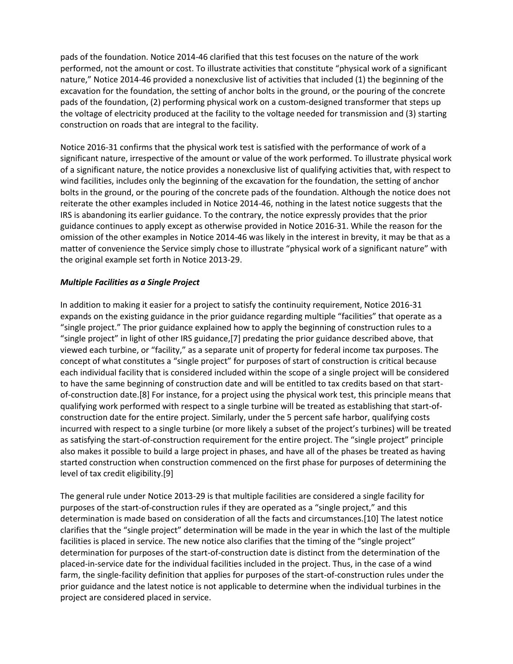pads of the foundation. Notice 2014-46 clarified that this test focuses on the nature of the work performed, not the amount or cost. To illustrate activities that constitute "physical work of a significant nature," Notice 2014-46 provided a nonexclusive list of activities that included (1) the beginning of the excavation for the foundation, the setting of anchor bolts in the ground, or the pouring of the concrete pads of the foundation, (2) performing physical work on a custom-designed transformer that steps up the voltage of electricity produced at the facility to the voltage needed for transmission and (3) starting construction on roads that are integral to the facility.

Notice 2016-31 confirms that the physical work test is satisfied with the performance of work of a significant nature, irrespective of the amount or value of the work performed. To illustrate physical work of a significant nature, the notice provides a nonexclusive list of qualifying activities that, with respect to wind facilities, includes only the beginning of the excavation for the foundation, the setting of anchor bolts in the ground, or the pouring of the concrete pads of the foundation. Although the notice does not reiterate the other examples included in Notice 2014-46, nothing in the latest notice suggests that the IRS is abandoning its earlier guidance. To the contrary, the notice expressly provides that the prior guidance continues to apply except as otherwise provided in Notice 2016-31. While the reason for the omission of the other examples in Notice 2014-46 was likely in the interest in brevity, it may be that as a matter of convenience the Service simply chose to illustrate "physical work of a significant nature" with the original example set forth in Notice 2013-29.

## *Multiple Facilities as a Single Project*

In addition to making it easier for a project to satisfy the continuity requirement, Notice 2016-31 expands on the existing guidance in the prior guidance regarding multiple "facilities" that operate as a "single project." The prior guidance explained how to apply the beginning of construction rules to a "single project" in light of other IRS guidance,[7] predating the prior guidance described above, that viewed each turbine, or "facility," as a separate unit of property for federal income tax purposes. The concept of what constitutes a "single project" for purposes of start of construction is critical because each individual facility that is considered included within the scope of a single project will be considered to have the same beginning of construction date and will be entitled to tax credits based on that startof-construction date.[8] For instance, for a project using the physical work test, this principle means that qualifying work performed with respect to a single turbine will be treated as establishing that start-ofconstruction date for the entire project. Similarly, under the 5 percent safe harbor, qualifying costs incurred with respect to a single turbine (or more likely a subset of the project's turbines) will be treated as satisfying the start-of-construction requirement for the entire project. The "single project" principle also makes it possible to build a large project in phases, and have all of the phases be treated as having started construction when construction commenced on the first phase for purposes of determining the level of tax credit eligibility.[9]

The general rule under Notice 2013-29 is that multiple facilities are considered a single facility for purposes of the start-of-construction rules if they are operated as a "single project," and this determination is made based on consideration of all the facts and circumstances.[10] The latest notice clarifies that the "single project" determination will be made in the year in which the last of the multiple facilities is placed in service. The new notice also clarifies that the timing of the "single project" determination for purposes of the start-of-construction date is distinct from the determination of the placed-in-service date for the individual facilities included in the project. Thus, in the case of a wind farm, the single-facility definition that applies for purposes of the start-of-construction rules under the prior guidance and the latest notice is not applicable to determine when the individual turbines in the project are considered placed in service.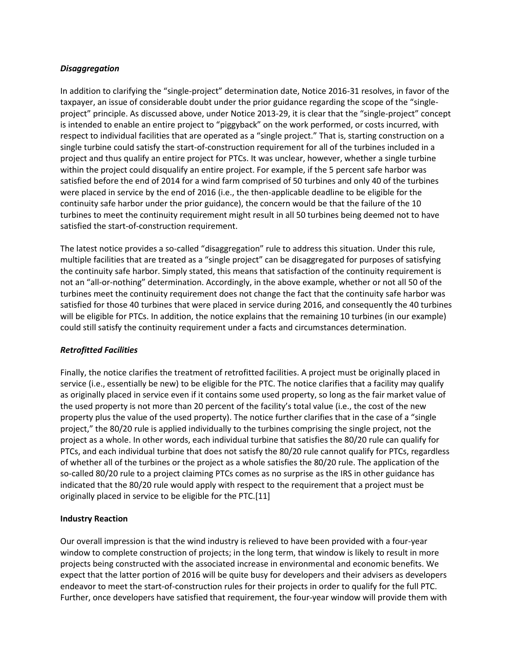#### *Disaggregation*

In addition to clarifying the "single-project" determination date, Notice 2016-31 resolves, in favor of the taxpayer, an issue of considerable doubt under the prior guidance regarding the scope of the "singleproject" principle. As discussed above, under Notice 2013-29, it is clear that the "single-project" concept is intended to enable an entire project to "piggyback" on the work performed, or costs incurred, with respect to individual facilities that are operated as a "single project." That is, starting construction on a single turbine could satisfy the start-of-construction requirement for all of the turbines included in a project and thus qualify an entire project for PTCs. It was unclear, however, whether a single turbine within the project could disqualify an entire project. For example, if the 5 percent safe harbor was satisfied before the end of 2014 for a wind farm comprised of 50 turbines and only 40 of the turbines were placed in service by the end of 2016 (i.e., the then-applicable deadline to be eligible for the continuity safe harbor under the prior guidance), the concern would be that the failure of the 10 turbines to meet the continuity requirement might result in all 50 turbines being deemed not to have satisfied the start-of-construction requirement.

The latest notice provides a so-called "disaggregation" rule to address this situation. Under this rule, multiple facilities that are treated as a "single project" can be disaggregated for purposes of satisfying the continuity safe harbor. Simply stated, this means that satisfaction of the continuity requirement is not an "all-or-nothing" determination. Accordingly, in the above example, whether or not all 50 of the turbines meet the continuity requirement does not change the fact that the continuity safe harbor was satisfied for those 40 turbines that were placed in service during 2016, and consequently the 40 turbines will be eligible for PTCs. In addition, the notice explains that the remaining 10 turbines (in our example) could still satisfy the continuity requirement under a facts and circumstances determination.

#### *Retrofitted Facilities*

Finally, the notice clarifies the treatment of retrofitted facilities. A project must be originally placed in service (i.e., essentially be new) to be eligible for the PTC. The notice clarifies that a facility may qualify as originally placed in service even if it contains some used property, so long as the fair market value of the used property is not more than 20 percent of the facility's total value (i.e., the cost of the new property plus the value of the used property). The notice further clarifies that in the case of a "single project," the 80/20 rule is applied individually to the turbines comprising the single project, not the project as a whole. In other words, each individual turbine that satisfies the 80/20 rule can qualify for PTCs, and each individual turbine that does not satisfy the 80/20 rule cannot qualify for PTCs, regardless of whether all of the turbines or the project as a whole satisfies the 80/20 rule. The application of the so-called 80/20 rule to a project claiming PTCs comes as no surprise as the IRS in other guidance has indicated that the 80/20 rule would apply with respect to the requirement that a project must be originally placed in service to be eligible for the PTC.[11]

#### **Industry Reaction**

Our overall impression is that the wind industry is relieved to have been provided with a four-year window to complete construction of projects; in the long term, that window is likely to result in more projects being constructed with the associated increase in environmental and economic benefits. We expect that the latter portion of 2016 will be quite busy for developers and their advisers as developers endeavor to meet the start-of-construction rules for their projects in order to qualify for the full PTC. Further, once developers have satisfied that requirement, the four-year window will provide them with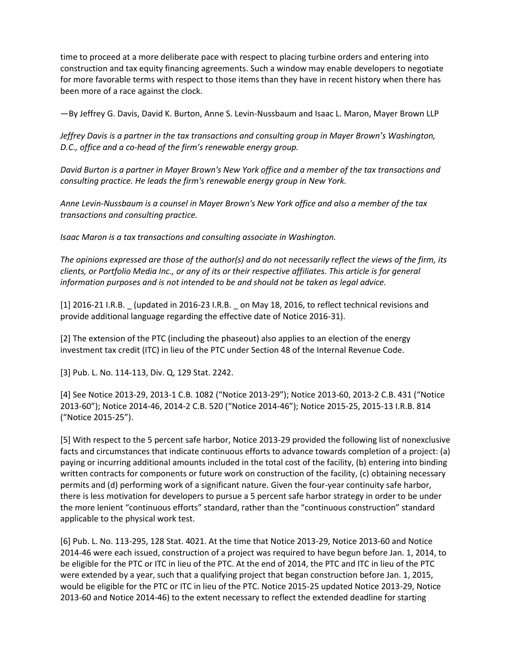time to proceed at a more deliberate pace with respect to placing turbine orders and entering into construction and tax equity financing agreements. Such a window may enable developers to negotiate for more favorable terms with respect to those items than they have in recent history when there has been more of a race against the clock.

—By Jeffrey G. Davis, David K. Burton, Anne S. Levin-Nussbaum and Isaac L. Maron, Mayer Brown LLP

*Jeffrey Davis is a partner in the tax transactions and consulting group in Mayer Brown's Washington, D.C., office and a co-head of the firm's renewable energy group.*

*David Burton is a partner in Mayer Brown's New York office and a member of the tax transactions and consulting practice. He leads the firm's renewable energy group in New York.*

*Anne Levin-Nussbaum is a counsel in Mayer Brown's New York office and also a member of the tax transactions and consulting practice.*

*Isaac Maron is a tax transactions and consulting associate in Washington.*

*The opinions expressed are those of the author(s) and do not necessarily reflect the views of the firm, its clients, or Portfolio Media Inc., or any of its or their respective affiliates. This article is for general information purposes and is not intended to be and should not be taken as legal advice.*

[1] 2016-21 I.R.B. \_ (updated in 2016-23 I.R.B. \_ on May 18, 2016, to reflect technical revisions and provide additional language regarding the effective date of Notice 2016-31).

[2] The extension of the PTC (including the phaseout) also applies to an election of the energy investment tax credit (ITC) in lieu of the PTC under Section 48 of the Internal Revenue Code.

[3] Pub. L. No. 114-113, Div. Q, 129 Stat. 2242.

[4] See Notice 2013-29, 2013-1 C.B. 1082 ("Notice 2013-29"); Notice 2013-60, 2013-2 C.B. 431 ("Notice 2013-60"); Notice 2014-46, 2014-2 C.B. 520 ("Notice 2014-46"); Notice 2015-25, 2015-13 I.R.B. 814 ("Notice 2015-25").

[5] With respect to the 5 percent safe harbor, Notice 2013-29 provided the following list of nonexclusive facts and circumstances that indicate continuous efforts to advance towards completion of a project: (a) paying or incurring additional amounts included in the total cost of the facility, (b) entering into binding written contracts for components or future work on construction of the facility, (c) obtaining necessary permits and (d) performing work of a significant nature. Given the four-year continuity safe harbor, there is less motivation for developers to pursue a 5 percent safe harbor strategy in order to be under the more lenient "continuous efforts" standard, rather than the "continuous construction" standard applicable to the physical work test.

[6] Pub. L. No. 113-295, 128 Stat. 4021. At the time that Notice 2013-29, Notice 2013-60 and Notice 2014-46 were each issued, construction of a project was required to have begun before Jan. 1, 2014, to be eligible for the PTC or ITC in lieu of the PTC. At the end of 2014, the PTC and ITC in lieu of the PTC were extended by a year, such that a qualifying project that began construction before Jan. 1, 2015, would be eligible for the PTC or ITC in lieu of the PTC. Notice 2015-25 updated Notice 2013-29, Notice 2013-60 and Notice 2014-46) to the extent necessary to reflect the extended deadline for starting